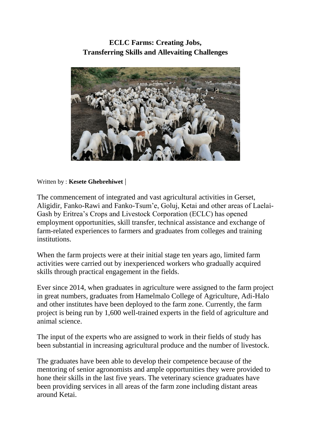## **[ECLC Farms: Creating Jobs,](http://www.shabait.com/articles/nation-building/30552-eclc-farms-creating-jobs-transferring-skills-and-alleviating-challenges-)  Transferring Skills and Allevaiting Challenges**



Written by : **Kesete Ghebrehiwet** |

The commencement of integrated and vast agricultural activities in Gerset, Aligidir, Fanko-Rawi and Fanko-Tsum'e, Goluj, Ketai and other areas of Laelai-Gash by Eritrea's Crops and Livestock Corporation (ECLC) has opened employment opportunities, skill transfer, technical assistance and exchange of farm-related experiences to farmers and graduates from colleges and training institutions.

When the farm projects were at their initial stage ten years ago, limited farm activities were carried out by inexperienced workers who gradually acquired skills through practical engagement in the fields.

Ever since 2014, when graduates in agriculture were assigned to the farm project in great numbers, graduates from Hamelmalo College of Agriculture, Adi-Halo and other institutes have been deployed to the farm zone. Currently, the farm project is being run by 1,600 well-trained experts in the field of agriculture and animal science.

The input of the experts who are assigned to work in their fields of study has been substantial in increasing agricultural produce and the number of livestock.

The graduates have been able to develop their competence because of the mentoring of senior agronomists and ample opportunities they were provided to hone their skills in the last five years. The veterinary science graduates have been providing services in all areas of the farm zone including distant areas around Ketai.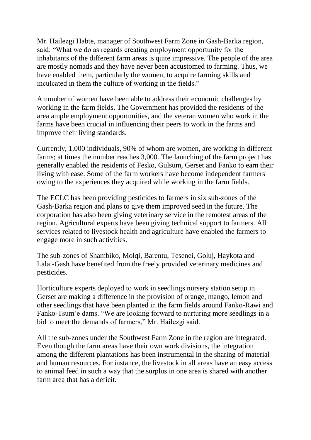Mr. Hailezgi Habte, manager of Southwest Farm Zone in Gash-Barka region, said: "What we do as regards creating employment opportunity for the inhabitants of the different farm areas is quite impressive. The people of the area are mostly nomads and they have never been accustomed to farming. Thus, we have enabled them, particularly the women, to acquire farming skills and inculcated in them the culture of working in the fields."

A number of women have been able to address their economic challenges by working in the farm fields. The Government has provided the residents of the area ample employment opportunities, and the veteran women who work in the farms have been crucial in influencing their peers to work in the farms and improve their living standards.

Currently, 1,000 individuals, 90% of whom are women, are working in different farms; at times the number reaches 3,000. The launching of the farm project has generally enabled the residents of Fesko, Gulsum, Gerset and Fanko to earn their living with ease. Some of the farm workers have become independent farmers owing to the experiences they acquired while working in the farm fields.

The ECLC has been providing pesticides to farmers in six sub-zones of the Gash-Barka region and plans to give them improved seed in the future. The corporation has also been giving veterinary service in the remotest areas of the region. Agricultural experts have been giving technical support to farmers. All services related to livestock health and agriculture have enabled the farmers to engage more in such activities.

The sub-zones of Shambiko, Molqi, Barentu, Tesenei, Goluj, Haykota and Lalai-Gash have benefited from the freely provided veterinary medicines and pesticides.

Horticulture experts deployed to work in seedlings nursery station setup in Gerset are making a difference in the provision of orange, mango, lemon and other seedlings that have been planted in the farm fields around Fanko-Rawi and Fanko-Tsum'e dams. "We are looking forward to nurturing more seedlings in a bid to meet the demands of farmers," Mr. Hailezgi said.

All the sub-zones under the Southwest Farm Zone in the region are integrated. Even though the farm areas have their own work divisions, the integration among the different plantations has been instrumental in the sharing of material and human resources. For instance, the livestock in all areas have an easy access to animal feed in such a way that the surplus in one area is shared with another farm area that has a deficit.